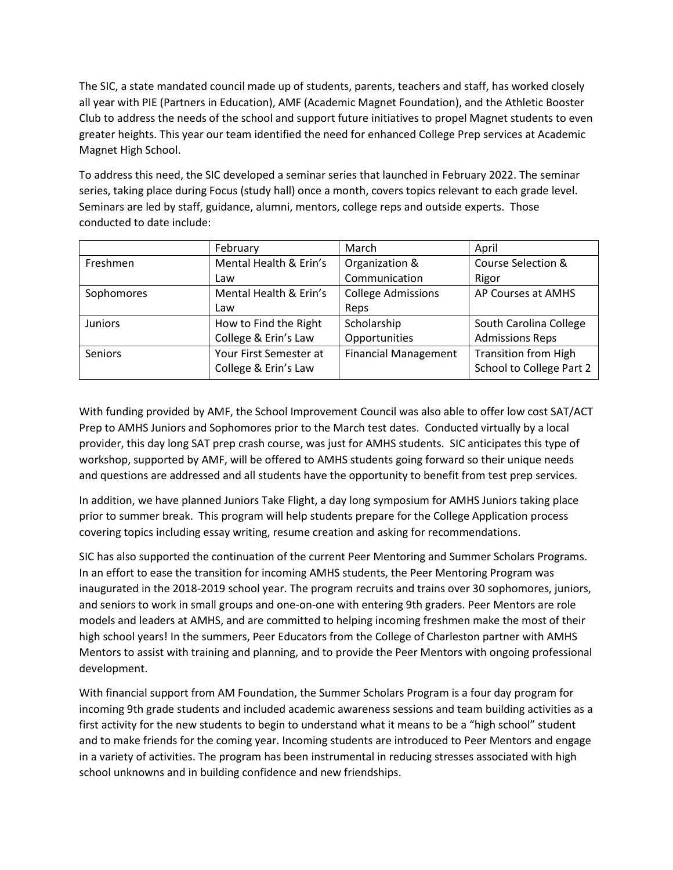The SIC, a state mandated council made up of students, parents, teachers and staff, has worked closely all year with PIE (Partners in Education), AMF (Academic Magnet Foundation), and the Athletic Booster Club to address the needs of the school and support future initiatives to propel Magnet students to even greater heights. This year our team identified the need for enhanced College Prep services at Academic Magnet High School.

To address this need, the SIC developed a seminar series that launched in February 2022. The seminar series, taking place during Focus (study hall) once a month, covers topics relevant to each grade level. Seminars are led by staff, guidance, alumni, mentors, college reps and outside experts. Those conducted to date include:

|                | February               | March                       | April                       |
|----------------|------------------------|-----------------------------|-----------------------------|
| Freshmen       | Mental Health & Erin's | Organization &              | Course Selection &          |
|                | Law                    | Communication               | Rigor                       |
| Sophomores     | Mental Health & Erin's | <b>College Admissions</b>   | AP Courses at AMHS          |
|                | Law                    | Reps                        |                             |
| <b>Juniors</b> | How to Find the Right  | Scholarship                 | South Carolina College      |
|                | College & Erin's Law   | Opportunities               | <b>Admissions Reps</b>      |
| Seniors        | Your First Semester at | <b>Financial Management</b> | <b>Transition from High</b> |
|                | College & Erin's Law   |                             | School to College Part 2    |

With funding provided by AMF, the School Improvement Council was also able to offer low cost SAT/ACT Prep to AMHS Juniors and Sophomores prior to the March test dates. Conducted virtually by a local provider, this day long SAT prep crash course, was just for AMHS students. SIC anticipates this type of workshop, supported by AMF, will be offered to AMHS students going forward so their unique needs and questions are addressed and all students have the opportunity to benefit from test prep services.

In addition, we have planned Juniors Take Flight, a day long symposium for AMHS Juniors taking place prior to summer break. This program will help students prepare for the College Application process covering topics including essay writing, resume creation and asking for recommendations.

SIC has also supported the continuation of the current Peer Mentoring and Summer Scholars Programs. In an effort to ease the transition for incoming AMHS students, the Peer Mentoring Program was inaugurated in the 2018-2019 school year. The program recruits and trains over 30 sophomores, juniors, and seniors to work in small groups and one-on-one with entering 9th graders. Peer Mentors are role models and leaders at AMHS, and are committed to helping incoming freshmen make the most of their high school years! In the summers, Peer Educators from the College of Charleston partner with AMHS Mentors to assist with training and planning, and to provide the Peer Mentors with ongoing professional development.

With financial support from AM Foundation, the Summer Scholars Program is a four day program for incoming 9th grade students and included academic awareness sessions and team building activities as a first activity for the new students to begin to understand what it means to be a "high school" student and to make friends for the coming year. Incoming students are introduced to Peer Mentors and engage in a variety of activities. The program has been instrumental in reducing stresses associated with high school unknowns and in building confidence and new friendships.